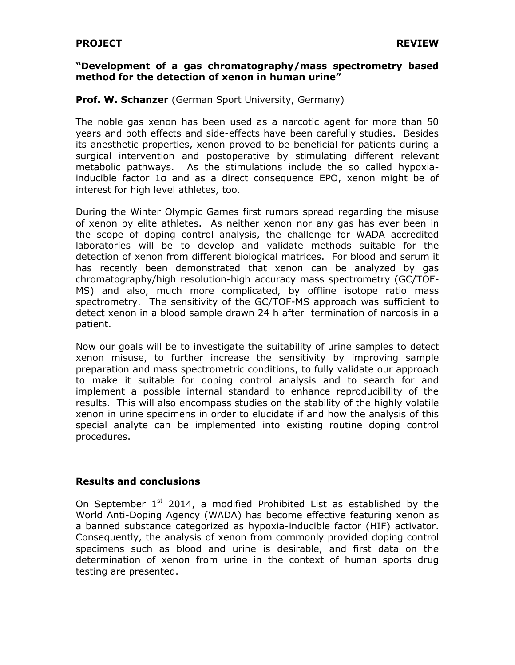## **"Development of a gas chromatography/mass spectrometry based method for the detection of xenon in human urine"**

## **Prof. W. Schanzer** (German Sport University, Germany)

The noble gas xenon has been used as a narcotic agent for more than 50 years and both effects and side-effects have been carefully studies. Besides its anesthetic properties, xenon proved to be beneficial for patients during a surgical intervention and postoperative by stimulating different relevant metabolic pathways. As the stimulations include the so called hypoxiainducible factor 1α and as a direct consequence EPO, xenon might be of interest for high level athletes, too.

During the Winter Olympic Games first rumors spread regarding the misuse of xenon by elite athletes. As neither xenon nor any gas has ever been in the scope of doping control analysis, the challenge for WADA accredited laboratories will be to develop and validate methods suitable for the detection of xenon from different biological matrices. For blood and serum it has recently been demonstrated that xenon can be analyzed by gas chromatography/high resolution-high accuracy mass spectrometry (GC/TOF-MS) and also, much more complicated, by offline isotope ratio mass spectrometry. The sensitivity of the GC/TOF-MS approach was sufficient to detect xenon in a blood sample drawn 24 h after termination of narcosis in a patient.

Now our goals will be to investigate the suitability of urine samples to detect xenon misuse, to further increase the sensitivity by improving sample preparation and mass spectrometric conditions, to fully validate our approach to make it suitable for doping control analysis and to search for and implement a possible internal standard to enhance reproducibility of the results. This will also encompass studies on the stability of the highly volatile xenon in urine specimens in order to elucidate if and how the analysis of this special analyte can be implemented into existing routine doping control procedures.

## **Results and conclusions**

On September  $1<sup>st</sup>$  2014, a modified Prohibited List as established by the World Anti-Doping Agency (WADA) has become effective featuring xenon as a banned substance categorized as hypoxia-inducible factor (HIF) activator. Consequently, the analysis of xenon from commonly provided doping control specimens such as blood and urine is desirable, and first data on the determination of xenon from urine in the context of human sports drug testing are presented.